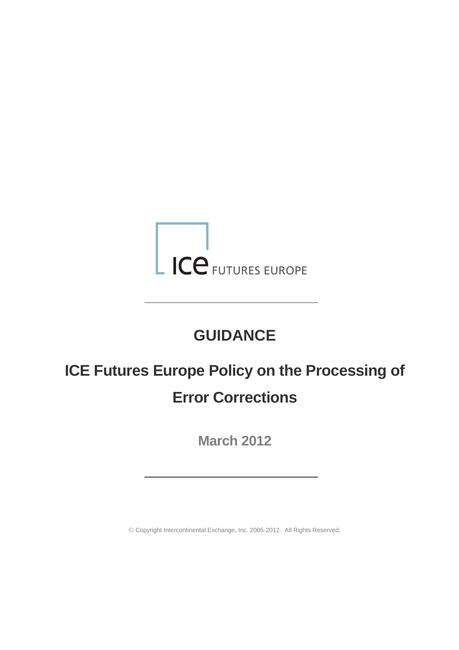

# **GUIDANCE**

# **ICE Futures Europe Policy on the Processing of Error Corrections**

**March 2012**

Copyright Intercontinental Exchange, Inc. 2005-2012. All Rights Reserved.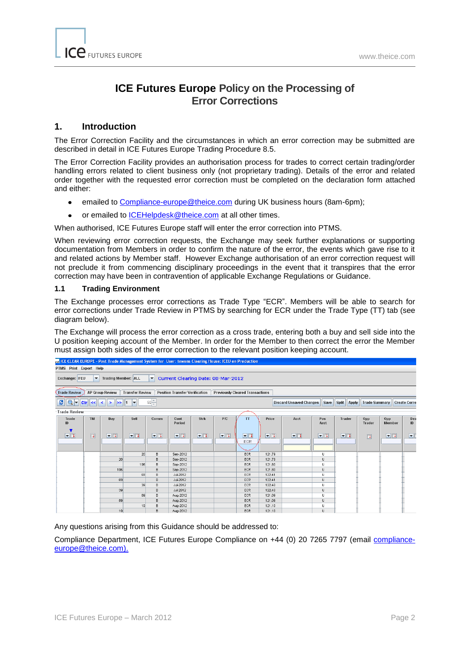## **ICE Futures Europe Policy on the Processing of Error Corrections**

#### **1. Introduction**

The Error Correction Facility and the circumstances in which an error correction may be submitted are described in detail in ICE Futures Europe Trading Procedure 8.5.

The Error Correction Facility provides an authorisation process for trades to correct certain trading/order handling errors related to client business only (not proprietary trading). Details of the error and related order together with the requested error correction must be completed on the declaration form attached and either:

- emailed to [Compliance-europe@theice.com](mailto:Compliance-europe@theice.com) during UK business hours (8am-6pm);
- or emailed to [ICEHelpdesk@theice.com](mailto:ICEHelpdesk@theice.com) at all other times.  $\bullet$

When authorised, ICE Futures Europe staff will enter the error correction into PTMS.

When reviewing error correction requests, the Exchange may seek further explanations or supporting documentation from Members in order to confirm the nature of the error, the events which gave rise to it and related actions by Member staff. However Exchange authorisation of an error correction request will not preclude it from commencing disciplinary proceedings in the event that it transpires that the error correction may have been in contravention of applicable Exchange Regulations or Guidance.

#### **1.1 Trading Environment**

The Exchange processes error corrections as Trade Type "ECR". Members will be able to search for error corrections under Trade Review in PTMS by searching for ECR under the Trade Type (TT) tab (see diagram below).

The Exchange will process the error correction as a cross trade, entering both a buy and sell side into the U position keeping account of the Member. In order for the Member to then correct the error the Member must assign both sides of the error correction to the relevant position keeping account.

| <sub>ICP</sub> ICE CLEAR EUROPE - Post Trade Management System for User: towens Clearing House: ICEU on Production |                        |                        |                        |                      |                                       |                     |          |                                        |                     |                                |                         |                              |                        |                      |                     |
|--------------------------------------------------------------------------------------------------------------------|------------------------|------------------------|------------------------|----------------------|---------------------------------------|---------------------|----------|----------------------------------------|---------------------|--------------------------------|-------------------------|------------------------------|------------------------|----------------------|---------------------|
| PTMS Print Export Help                                                                                             |                        |                        |                        |                      |                                       |                     |          |                                        |                     |                                |                         |                              |                        |                      |                     |
| Exchange: IFEU                                                                                                     | $\blacktriangledown$   | Trading Member: ALL    |                        | $\blacktriangledown$ | Current Clearing Date: 08-Mar-2012    |                     |          |                                        |                     |                                |                         |                              |                        |                      |                     |
| <b>Trade Review</b>                                                                                                |                        | AP Group Review        | <b>Transfer Review</b> |                      | <b>Position Transfer Verification</b> |                     |          | <b>Previously Cleared Transactions</b> |                     |                                |                         |                              |                        |                      |                     |
| Q <br>ø                                                                                                            | C <br>$\le$            | $>$ $\ge$ 1<br>$\prec$ | ►                      | $50 -$               |                                       |                     |          |                                        |                     | <b>Discard Unsaved Changes</b> | <b>Save</b>             | <b>Split</b><br><b>Apply</b> | <b>Trade Summary</b>   |                      | <b>Create Corre</b> |
| -Trade Review                                                                                                      |                        |                        |                        |                      |                                       |                     |          |                                        |                     |                                |                         |                              |                        |                      |                     |
| Trade<br>ID                                                                                                        | <b>TM</b>              | Buy                    | Sell                   | Comm                 | Cont<br>Period                        | <b>Strk</b>         | P/C      | TT                                     | Price               | Acct                           | Pos<br>Acct             | <b>Trader</b>                | Opp<br>Trader          | Opp<br><b>Member</b> | Dea<br>ID           |
| $\nabla$                                                                                                           | $\boxed{\blacksquare}$ | $\nabla$               | $\nabla \mathbf{E}$    | $\nabla$             | $\nabla$                              | $\nabla \mathbf{E}$ | $\nabla$ | $\nabla$<br>ECR                        | $\nabla \mathbf{E}$ | $\nabla$                       | $\nabla$ $\blacksquare$ | $\blacksquare$               | $\boxed{\color{red}1}$ | $\nabla \mathbf{E}$  | $\blacksquare$      |
|                                                                                                                    |                        |                        |                        |                      |                                       |                     |          |                                        |                     |                                |                         |                              |                        |                      |                     |
|                                                                                                                    |                        |                        | 20                     | в                    | Sep-2012                              |                     |          | ECR                                    | 121.79              |                                | U                       |                              |                        |                      |                     |
|                                                                                                                    |                        | 20                     |                        | B                    | Sep-2012                              |                     |          | ECR                                    | 121.79              |                                | U                       |                              |                        |                      |                     |
|                                                                                                                    |                        |                        | 196                    | B                    | Sep-2012                              |                     |          | ECR                                    | 121.80              |                                | U                       |                              |                        |                      |                     |
|                                                                                                                    |                        | 196                    |                        | B                    | Sep-2012                              |                     |          | ECR                                    | 121.80              |                                | U                       |                              |                        |                      |                     |
|                                                                                                                    |                        |                        | 69                     | B                    | Jul-2012                              |                     |          | ECR                                    | 122.41              |                                | U                       |                              |                        |                      |                     |
|                                                                                                                    |                        | 69                     | 39                     | B<br>B               | Jul-2012<br>Jul-2012                  |                     |          | ECR<br>ECR                             | 122.41<br>122.40    |                                | U<br>U                  |                              |                        |                      |                     |
|                                                                                                                    |                        | 39                     |                        | B                    | Jul-2012                              |                     |          | ECR                                    | 122.40              |                                | U                       |                              |                        |                      |                     |
|                                                                                                                    |                        |                        | 89                     | B                    | Aug-2012                              |                     |          | ECR                                    | 121.09              |                                | $\cup$                  |                              |                        |                      |                     |
|                                                                                                                    |                        | 89                     |                        | в                    | Aug-2012                              |                     |          | ECR                                    | 121.09              |                                | U                       |                              |                        |                      |                     |
|                                                                                                                    |                        |                        | 19                     | B                    | Aug-2012                              |                     |          | ECR                                    | 121.10              |                                | U                       |                              |                        |                      |                     |
|                                                                                                                    |                        | 19                     |                        | B                    | Aug-2012                              |                     |          | <b>ECR</b>                             | 121.10              |                                | U                       |                              |                        |                      |                     |

Any questions arising from this Guidance should be addressed to:

Compliance Department, ICE Futures Europe Compliance on +44 (0) 20 7265 7797 (email complianceeurope@theice.com).